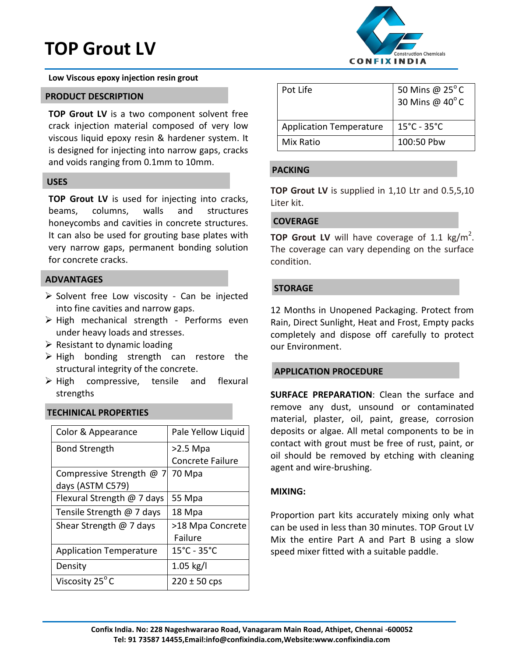# **TOP Grout LV**

**Low Viscous epoxy injection resin grout** 

#### **PRODUCT DESCRIPTION**

**TOP Grout LV** is a two component solvent free crack injection material composed of very low viscous liquid epoxy resin & hardener system. It is designed for injecting into narrow gaps, cracks and voids ranging from 0.1mm to 10mm.

#### **USES**

**TOP Grout LV** is used for injecting into cracks, beams, columns, walls and structures honeycombs and cavities in concrete structures. It can also be used for grouting base plates with very narrow gaps, permanent bonding solution for concrete cracks.

### **ADVANTAGES**

- > Solvent free Low viscosity Can be injected into fine cavities and narrow gaps.
- $\triangleright$  High mechanical strength Performs even under heavy loads and stresses.
- $\triangleright$  Resistant to dynamic loading
- $\triangleright$  High bonding strength can restore the structural integrity of the concrete.
- $\triangleright$  High compressive, tensile and flexural strengths

# **TECHINICAL PROPERTIES**

| Color & Appearance             | Pale Yellow Liquid               |
|--------------------------------|----------------------------------|
| <b>Bond Strength</b>           | $>2.5$ Mpa                       |
|                                | <b>Concrete Failure</b>          |
| Compressive Strength @ 7       | 70 Mpa                           |
| days (ASTM C579)               |                                  |
| Flexural Strength @ 7 days     | 55 Mpa                           |
| Tensile Strength @ 7 days      | 18 Mpa                           |
| Shear Strength $@$ 7 days      | >18 Mpa Concrete                 |
|                                | Failure                          |
| <b>Application Temperature</b> | $15^{\circ}$ C - 35 $^{\circ}$ C |
| Density                        | $1.05$ kg/l                      |
| Viscosity 25 <sup>°</sup> C    | $220 \pm 50$ cps                 |



| Pot Life                       | 50 Mins @ $25^{\circ}$ C<br>30 Mins @ 40°C |
|--------------------------------|--------------------------------------------|
| <b>Application Temperature</b> | $15^{\circ}$ C - 35 $^{\circ}$ C           |
| Mix Ratio                      | 100:50 Pbw                                 |

## **PACKING**

**TOP Grout LV** is supplied in 1,10 Ltr and 0.5,5,10 Liter kit.

## **COVERAGE**

**TOP Grout LV** will have coverage of 1.1 kg/m<sup>2</sup>. The coverage can vary depending on the surface condition.

## **STORAGE**

12 Months in Unopened Packaging. Protect from Rain, Direct Sunlight, Heat and Frost, Empty packs completely and dispose off carefully to protect our Environment.

# **APPLICATION PROCEDURE**

**SURFACE PREPARATION**: Clean the surface and remove any dust, unsound or contaminated material, plaster, oil, paint, grease, corrosion deposits or algae. All metal components to be in contact with grout must be free of rust, paint, or oil should be removed by etching with cleaning agent and wire-brushing.

### **MIXING:**

Proportion part kits accurately mixing only what can be used in less than 30 minutes. TOP Grout LV Mix the entire Part A and Part B using a slow speed mixer fitted with a suitable paddle.